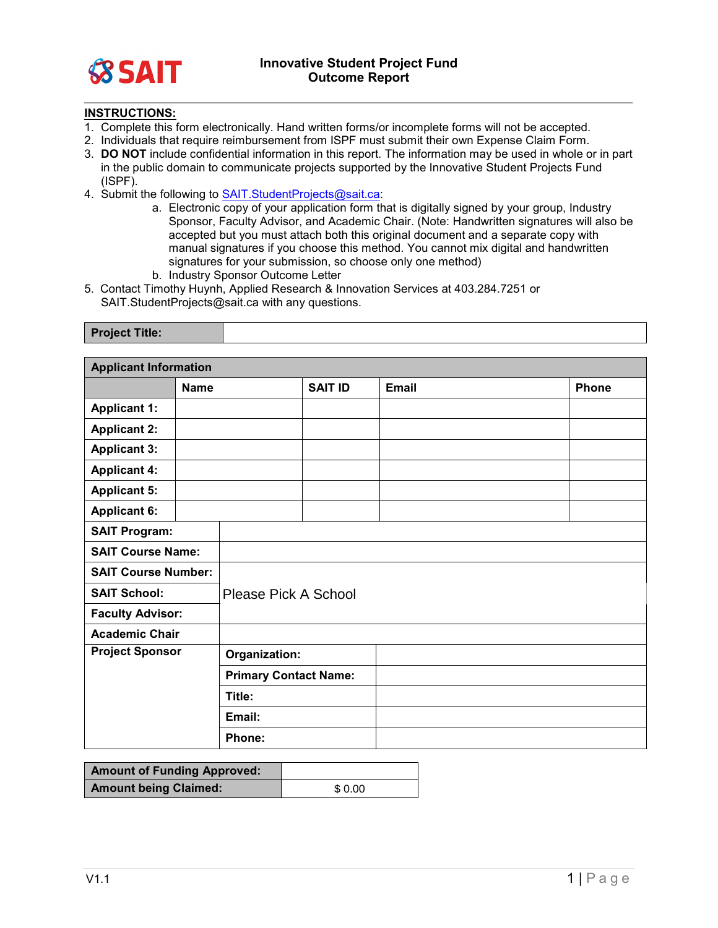

## **INSTRUCTIONS:**

- 1. Complete this form electronically. Hand written forms/or incomplete forms will not be accepted.
- 2. Individuals that require reimbursement from ISPF must submit their own Expense Claim Form.
- 3. **DO NOT** include confidential information in this report. The information may be used in whole or in part in the public domain to communicate projects supported by the Innovative Student Projects Fund (ISPF).
- 4. Submit the following to [SAIT.StudentProjects@sait.ca:](mailto:SAIT.StudentProjects@sait.ca)
	- a. Electronic copy of your application form that is digitally signed by your group, Industry Sponsor, Faculty Advisor, and Academic Chair. (Note: Handwritten signatures will also be accepted but you must attach both this original document and a separate copy with manual signatures if you choose this method. You cannot mix digital and handwritten signatures for your submission, so choose only one method) b. Industry Sponsor Outcome Letter
- 5. Contact Timothy Huynh, Applied Research & Innovation Services at 403.284.7251 or
	- SAIT.StudentProjects@sait.ca with any questions.

| <b>Project Title:</b> |  |
|-----------------------|--|
|                       |  |

| <b>Applicant Information</b>       |                              |                      |                              |              |              |
|------------------------------------|------------------------------|----------------------|------------------------------|--------------|--------------|
|                                    | <b>Name</b>                  |                      | <b>SAIT ID</b>               | <b>Email</b> | <b>Phone</b> |
| <b>Applicant 1:</b>                |                              |                      |                              |              |              |
| <b>Applicant 2:</b>                |                              |                      |                              |              |              |
| <b>Applicant 3:</b>                |                              |                      |                              |              |              |
| <b>Applicant 4:</b>                |                              |                      |                              |              |              |
| <b>Applicant 5:</b>                |                              |                      |                              |              |              |
| <b>Applicant 6:</b>                |                              |                      |                              |              |              |
| <b>SAIT Program:</b>               |                              |                      |                              |              |              |
| <b>SAIT Course Name:</b>           |                              |                      |                              |              |              |
| <b>SAIT Course Number:</b>         |                              |                      |                              |              |              |
| <b>SAIT School:</b>                |                              | Please Pick A School |                              |              |              |
| <b>Faculty Advisor:</b>            |                              |                      |                              |              |              |
| <b>Academic Chair</b>              |                              |                      |                              |              |              |
| <b>Project Sponsor</b>             |                              | Organization:        |                              |              |              |
|                                    |                              |                      | <b>Primary Contact Name:</b> |              |              |
|                                    |                              | Title:               |                              |              |              |
|                                    |                              | Email:               |                              |              |              |
|                                    |                              | Phone:               |                              |              |              |
|                                    |                              |                      |                              |              |              |
| <b>Amount of Funding Approved:</b> |                              |                      |                              |              |              |
|                                    | <b>Amount being Claimed:</b> |                      | \$0.00                       |              |              |

| <b>Amount of Funding Approved:</b> |        |
|------------------------------------|--------|
| <b>Amount being Claimed:</b>       | \$0.00 |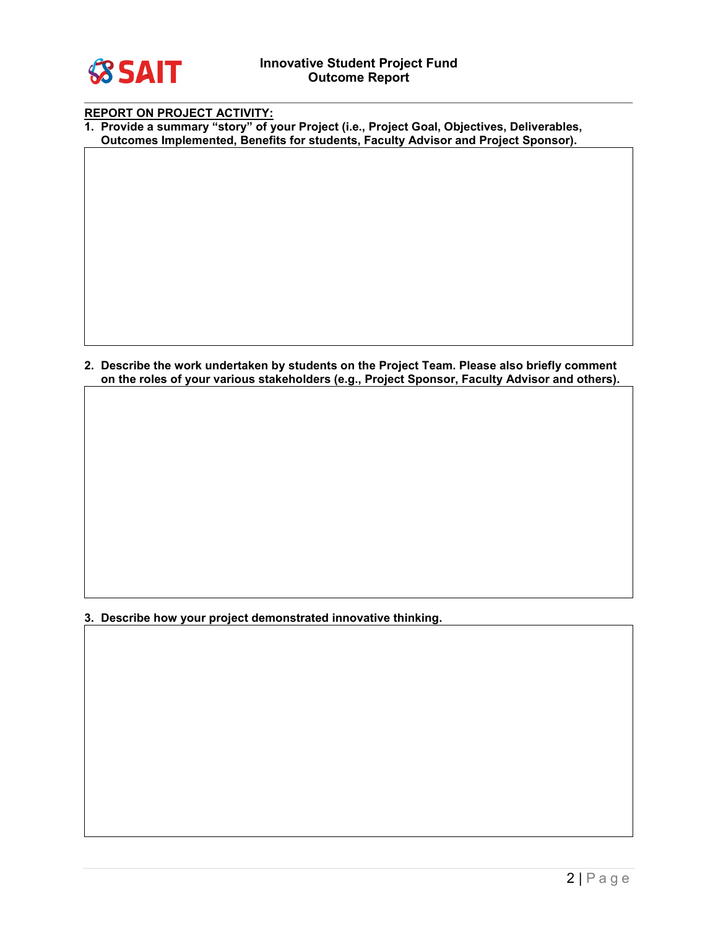

| <b>REPORT ON PROJECT ACTIVITY:</b> |
|------------------------------------|
|------------------------------------|

**1. Provide a summary "story" of your Project (i.e., Project Goal, Objectives, Deliverables, Outcomes Implemented, Benefits for students, Faculty Advisor and Project Sponsor).**

**2. Describe the work undertaken by students on the Project Team. Please also briefly comment on the roles of your various stakeholders (e.g., Project Sponsor, Faculty Advisor and others).**

**3. Describe how your project demonstrated innovative thinking.**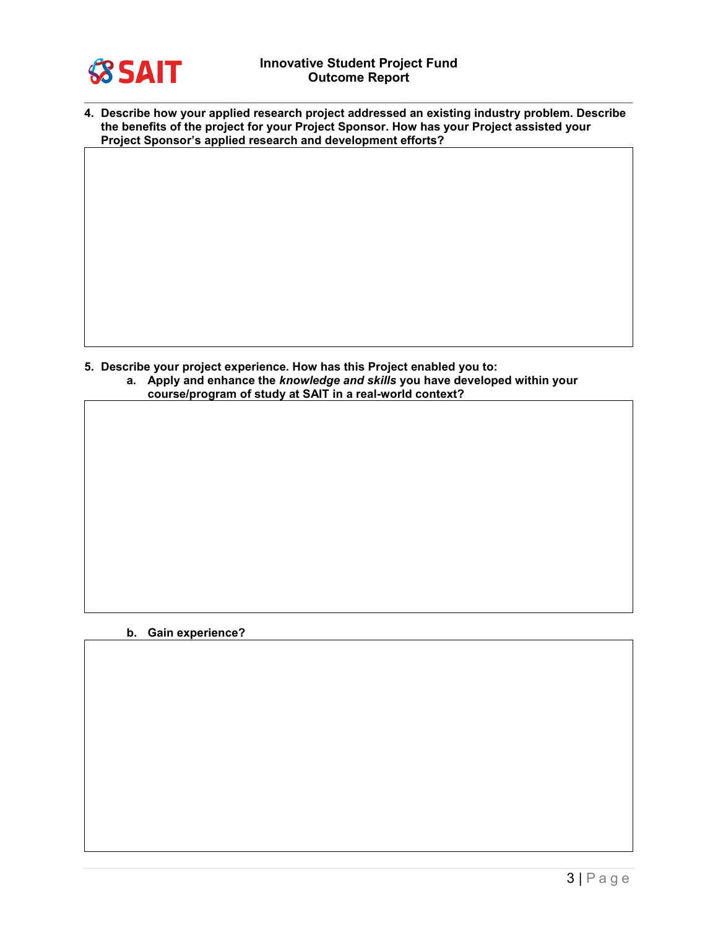

| 4. Describe how your applied research project addressed an existing industry problem. Describe |
|------------------------------------------------------------------------------------------------|
| the benefits of the project for your Project Sponsor. How has your Project assisted your       |
| Project Sponsor's applied research and development efforts?                                    |

**5. Describe your project experience. How has this Project enabled you to: a. Apply and enhance the** *knowledge and skills* **you have developed within your course/program of study at SAIT in a real-world context?** 

## **b. Gain experience?**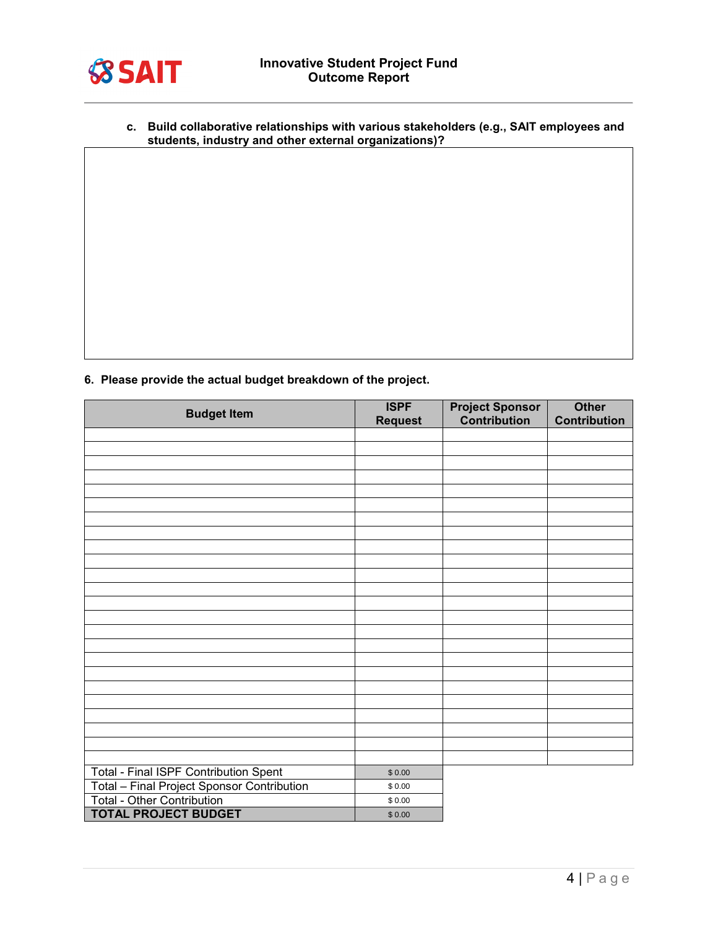

**c. Build collaborative relationships with various stakeholders (e.g., SAIT employees and students, industry and other external organizations)?**

**6. Please provide the actual budget breakdown of the project.** 

| <b>Budget Item</b>                           | <b>ISPF</b>    | <b>Project Sponsor</b><br>Contribution | <b>Other</b><br><b>Contribution</b> |
|----------------------------------------------|----------------|----------------------------------------|-------------------------------------|
|                                              | <b>Request</b> |                                        |                                     |
|                                              |                |                                        |                                     |
|                                              |                |                                        |                                     |
|                                              |                |                                        |                                     |
|                                              |                |                                        |                                     |
|                                              |                |                                        |                                     |
|                                              |                |                                        |                                     |
|                                              |                |                                        |                                     |
|                                              |                |                                        |                                     |
|                                              |                |                                        |                                     |
|                                              |                |                                        |                                     |
|                                              |                |                                        |                                     |
|                                              |                |                                        |                                     |
|                                              |                |                                        |                                     |
|                                              |                |                                        |                                     |
|                                              |                |                                        |                                     |
|                                              |                |                                        |                                     |
|                                              |                |                                        |                                     |
|                                              |                |                                        |                                     |
|                                              |                |                                        |                                     |
|                                              |                |                                        |                                     |
|                                              |                |                                        |                                     |
|                                              |                |                                        |                                     |
|                                              |                |                                        |                                     |
| <b>Total - Final ISPF Contribution Spent</b> | \$0.00         |                                        |                                     |
| Total - Final Project Sponsor Contribution   | \$0.00         |                                        |                                     |
| Total - Other Contribution                   | \$0.00         |                                        |                                     |
| <b>TOTAL PROJECT BUDGET</b>                  | \$0.00         |                                        |                                     |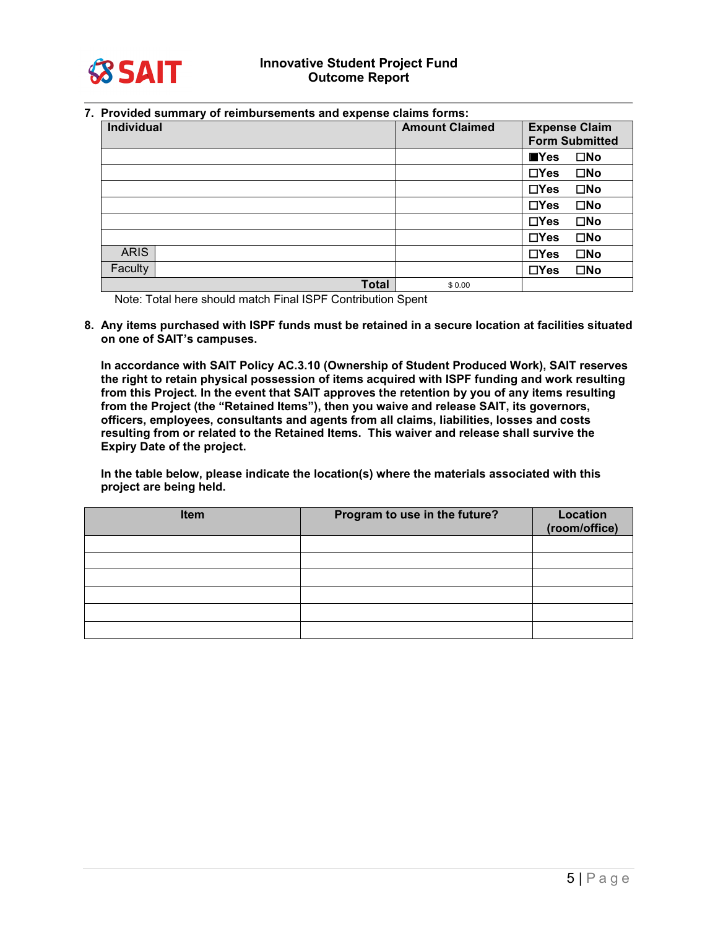

**7. Provided summary of reimbursements and expense claims forms:**

| Individual  |              | <b>Amount Claimed</b> | <b>Expense Claim</b><br><b>Form Submitted</b> |              |
|-------------|--------------|-----------------------|-----------------------------------------------|--------------|
|             |              |                       | $\blacksquare$ Yes                            | $\square$ No |
|             |              |                       | $\Box$ Yes                                    | $\square$ No |
|             |              |                       | $\Box$ Yes                                    | $\square$ No |
|             |              |                       | $\Box Y$ es                                   | $\square$ No |
|             |              |                       | $\Box$ Yes                                    | $\square$ No |
|             |              |                       | $\Box$ Yes                                    | $\square$ No |
| <b>ARIS</b> |              |                       | $\Box$ Yes                                    | $\square$ No |
| Faculty     |              |                       | $\Box$ Yes                                    | $\square$ No |
|             | <b>Total</b> | \$0.00                |                                               |              |

Note: Total here should match Final ISPF Contribution Spent

**8. Any items purchased with ISPF funds must be retained in a secure location at facilities situated on one of SAIT's campuses.**

**In accordance with SAIT Policy AC.3.10 (Ownership of Student Produced Work), SAIT reserves the right to retain physical possession of items acquired with ISPF funding and work resulting from this Project. In the event that SAIT approves the retention by you of any items resulting from the Project (the "Retained Items"), then you waive and release SAIT, its governors, officers, employees, consultants and agents from all claims, liabilities, losses and costs resulting from or related to the Retained Items. This waiver and release shall survive the Expiry Date of the project.**

**In the table below, please indicate the location(s) where the materials associated with this project are being held.**

| <b>Item</b> | Program to use in the future? | <b>Location</b><br>(room/office) |
|-------------|-------------------------------|----------------------------------|
|             |                               |                                  |
|             |                               |                                  |
|             |                               |                                  |
|             |                               |                                  |
|             |                               |                                  |
|             |                               |                                  |